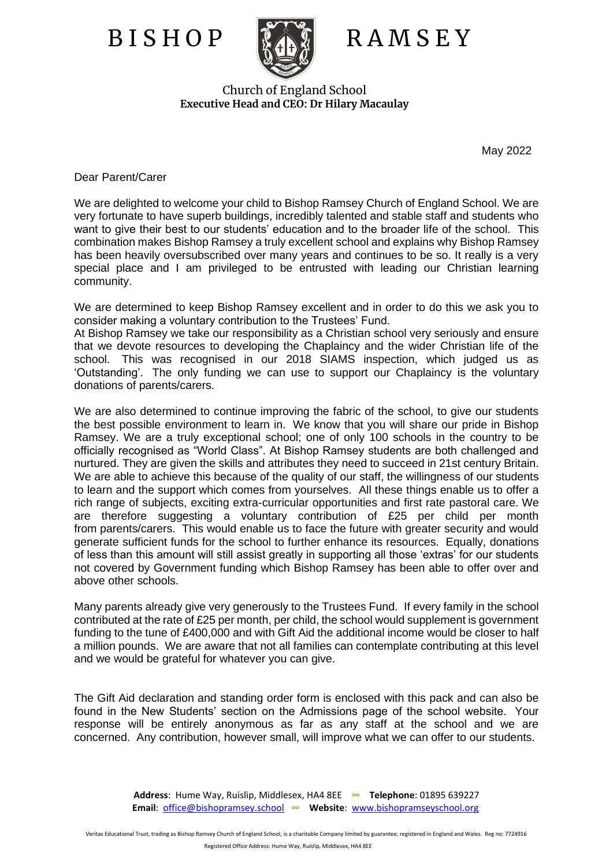

## B I S H O P RA M S E Y

Church of England School **Executive Head and CEO: Dr Hilary Macaulay**

May 2022

Dear Parent/Carer

We are delighted to welcome your child to Bishop Ramsey Church of England School. We are very fortunate to have superb buildings, incredibly talented and stable staff and students who want to give their best to our students' education and to the broader life of the school. This combination makes Bishop Ramsey a truly excellent school and explains why Bishop Ramsey has been heavily oversubscribed over many years and continues to be so. It really is a very special place and I am privileged to be entrusted with leading our Christian learning community.

We are determined to keep Bishop Ramsey excellent and in order to do this we ask you to consider making a voluntary contribution to the Trustees' Fund.

At Bishop Ramsey we take our responsibility as a Christian school very seriously and ensure that we devote resources to developing the Chaplaincy and the wider Christian life of the school. This was recognised in our 2018 SIAMS inspection, which judged us as 'Outstanding'. The only funding we can use to support our Chaplaincy is the voluntary donations of parents/carers.

We are also determined to continue improving the fabric of the school, to give our students the best possible environment to learn in. We know that you will share our pride in Bishop Ramsey. We are a truly exceptional school; one of only 100 schools in the country to be officially recognised as "World Class". At Bishop Ramsey students are both challenged and nurtured. They are given the skills and attributes they need to succeed in 21st century Britain. We are able to achieve this because of the quality of our staff, the willingness of our students to learn and the support which comes from yourselves. All these things enable us to offer a rich range of subjects, exciting extra-curricular opportunities and first rate pastoral care. We are therefore suggesting a voluntary contribution of £25 per child per month from parents/carers. This would enable us to face the future with greater security and would generate sufficient funds for the school to further enhance its resources. Equally, donations of less than this amount will still assist greatly in supporting all those 'extras' for our students not covered by Government funding which Bishop Ramsey has been able to offer over and above other schools.

Many parents already give very generously to the Trustees Fund. If every family in the school contributed at the rate of £25 per month, per child, the school would supplement is government funding to the tune of £400,000 and with Gift Aid the additional income would be closer to half a million pounds. We are aware that not all families can contemplate contributing at this level and we would be grateful for whatever you can give.

The Gift Aid declaration and standing order form is enclosed with this pack and can also be found in the New Students' section on the Admissions page of the school website. Your response will be entirely anonymous as far as any staff at the school and we are concerned. Any contribution, however small, will improve what we can offer to our students.

> **Address**: Hume Way, Ruislip, Middlesex, HA4 8EE **∞ Telephone**: 01895 639227  **Email**: [office@bishopramsey.school](mailto:office@bishopramsey.school) **∞ Website**: [www.bishopramseyschool.org](http://www.bishopramseyschool.org/)